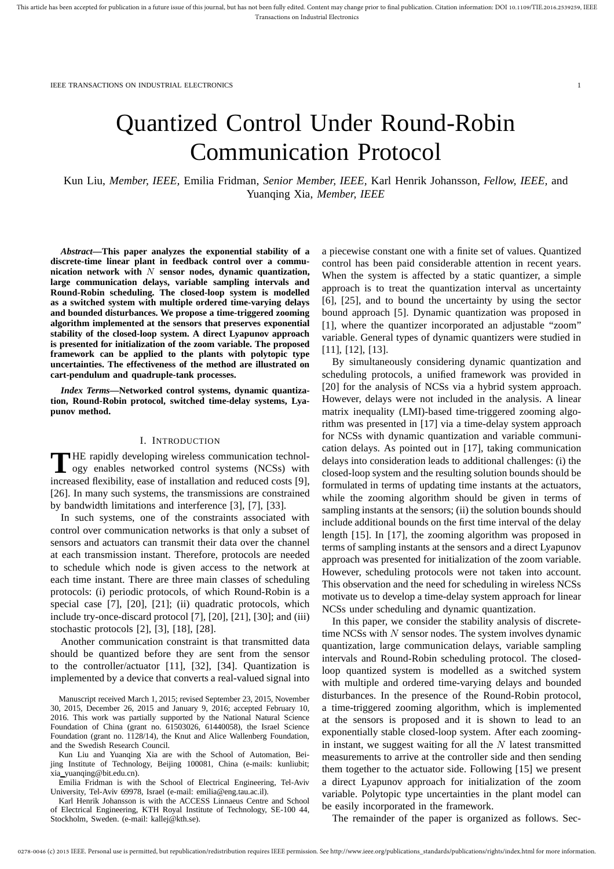# Quantized Control Under Round-Robin Communication Protocol

Kun Liu, *Member, IEEE,* Emilia Fridman, *Senior Member, IEEE,* Karl Henrik Johansson, *Fellow, IEEE,* and Yuanqing Xia, *Member, IEEE*

*Abstract***—This paper analyzes the exponential stability of a discrete-time linear plant in feedback control over a communication network with** N **sensor nodes, dynamic quantization, large communication delays, variable sampling intervals and Round-Robin scheduling. The closed-loop system is modelled as a switched system with multiple ordered time-varying delays and bounded disturbances. We propose a time-triggered zooming algorithm implemented at the sensors that preserves exponential stability of the closed-loop system. A direct Lyapunov approach is presented for initialization of the zoom variable. The proposed framework can be applied to the plants with polytopic type uncertainties. The effectiveness of the method are illustrated on cart-pendulum and quadruple-tank processes.**

*Index Terms***—Networked control systems, dynamic quantization, Round-Robin protocol, switched time-delay systems, Lyapunov method.**

## I. INTRODUCTION

THE rapidly developing wireless communication technology enables networked control systems (NCSs) with ogy enables networked control systems (NCSs) with increased flexibility, ease of installation and reduced costs [9], [26]. In many such systems, the transmissions are constrained by bandwidth limitations and interference [3], [7], [33].

In such systems, one of the constraints associated with control over communication networks is that only a subset of sensors and actuators can transmit their data over the channel at each transmission instant. Therefore, protocols are needed to schedule which node is given access to the network at each time instant. There are three main classes of scheduling protocols: (i) periodic protocols, of which Round-Robin is a special case [7], [20], [21]; (ii) quadratic protocols, which include try-once-discard protocol [7], [20], [21], [30]; and (iii) stochastic protocols [2], [3], [18], [28].

Another communication constraint is that transmitted data should be quantized before they are sent from the sensor to the controller/actuator [11], [32], [34]. Quantization is implemented by a device that converts a real-valued signal into

Manuscript received March 1, 2015; revised September 23, 2015, November 30, 2015, December 26, 2015 and January 9, 2016; accepted February 10, 2016. This work was partially supported by the National Natural Science Foundation of China (grant no. 61503026, 61440058), the Israel Science Foundation (grant no. 1128/14), the Knut and Alice Wallenberg Foundation, and the Swedish Research Council.

Kun Liu and Yuanqing Xia are with the School of Automation, Beijing Institute of Technology, Beijing 100081, China (e-mails: kunliubit; xia yuanqing@bit.edu.cn).

Emilia Fridman is with the School of Electrical Engineering, Tel-Aviv University, Tel-Aviv 69978, Israel (e-mail: emilia@eng.tau.ac.il).

Karl Henrik Johansson is with the ACCESS Linnaeus Centre and School of Electrical Engineering, KTH Royal Institute of Technology, SE-100 44, Stockholm, Sweden. (e-mail: kallej@kth.se).

a piecewise constant one with a finite set of values. Quantized control has been paid considerable attention in recent years. When the system is affected by a static quantizer, a simple approach is to treat the quantization interval as uncertainty [6], [25], and to bound the uncertainty by using the sector bound approach [5]. Dynamic quantization was proposed in [1], where the quantizer incorporated an adjustable "zoom" variable. General types of dynamic quantizers were studied in [11], [12], [13].

By simultaneously considering dynamic quantization and scheduling protocols, a unified framework was provided in [20] for the analysis of NCSs via a hybrid system approach. However, delays were not included in the analysis. A linear matrix inequality (LMI)-based time-triggered zooming algorithm was presented in [17] via a time-delay system approach for NCSs with dynamic quantization and variable communication delays. As pointed out in [17], taking communication delays into consideration leads to additional challenges: (i) the closed-loop system and the resulting solution bounds should be formulated in terms of updating time instants at the actuators, while the zooming algorithm should be given in terms of sampling instants at the sensors; (ii) the solution bounds should include additional bounds on the first time interval of the delay length [15]. In [17], the zooming algorithm was proposed in terms of sampling instants at the sensors and a direct Lyapunov approach was presented for initialization of the zoom variable. However, scheduling protocols were not taken into account. This observation and the need for scheduling in wireless NCSs motivate us to develop a time-delay system approach for linear NCSs under scheduling and dynamic quantization.

In this paper, we consider the stability analysis of discretetime NCSs with  $N$  sensor nodes. The system involves dynamic quantization, large communication delays, variable sampling intervals and Round-Robin scheduling protocol. The closedloop quantized system is modelled as a switched system with multiple and ordered time-varying delays and bounded disturbances. In the presence of the Round-Robin protocol, a time-triggered zooming algorithm, which is implemented at the sensors is proposed and it is shown to lead to an exponentially stable closed-loop system. After each zoomingin instant, we suggest waiting for all the  $N$  latest transmitted measurements to arrive at the controller side and then sending them together to the actuator side. Following [15] we present a direct Lyapunov approach for initialization of the zoom variable. Polytopic type uncertainties in the plant model can be easily incorporated in the framework.

The remainder of the paper is organized as follows. Sec-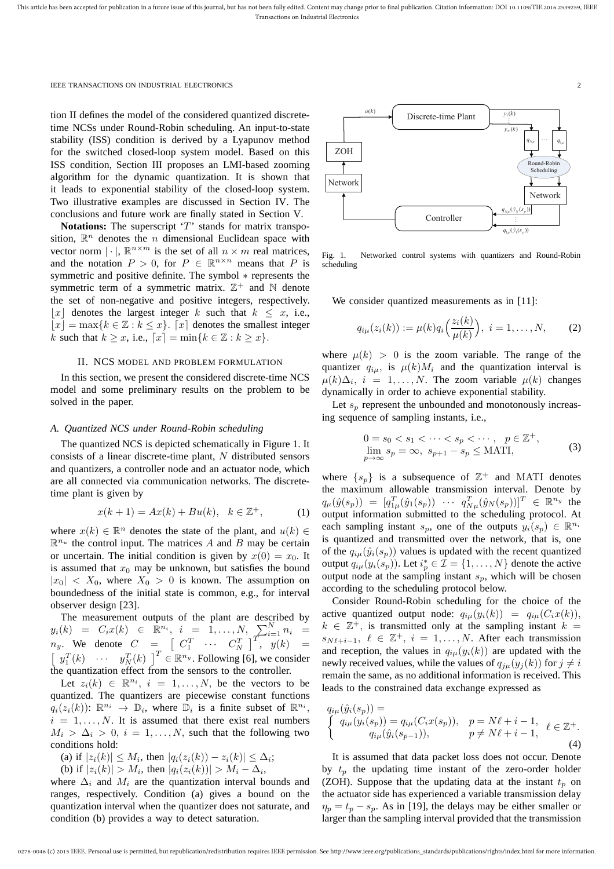tion II defines the model of the considered quantized discretetime NCSs under Round-Robin scheduling. An input-to-state stability (ISS) condition is derived by a Lyapunov method for the switched closed-loop system model. Based on this ISS condition, Section III proposes an LMI-based zooming algorithm for the dynamic quantization. It is shown that it leads to exponential stability of the closed-loop system. Two illustrative examples are discussed in Section IV. The conclusions and future work are finally stated in Section V.

Notations: The superscript 'T' stands for matrix transposition,  $\mathbb{R}^n$  denotes the *n* dimensional Euclidean space with vector norm  $|\cdot|$ ,  $\mathbb{R}^{n \times m}$  is the set of all  $n \times m$  real matrices, and the notation  $P > 0$ , for  $P \in \mathbb{R}^{n \times n}$  means that P is symmetric and positive definite. The symbol  $*$  represents the symmetric term of a symmetric matrix.  $\mathbb{Z}^+$  and  $\mathbb N$  denote the set of non-negative and positive integers, respectively. |x| denotes the largest integer k such that  $k \leq x$ , i.e.,  $|x| = \max\{k \in \mathbb{Z} : k \leq x\}$ . [x] denotes the smallest integer k such that  $k \geq x$ , i.e.,  $[x] = \min\{k \in \mathbb{Z} : k \geq x\}.$ 

## II. NCS MODEL AND PROBLEM FORMULATION

In this section, we present the considered discrete-time NCS model and some preliminary results on the problem to be solved in the paper.

## *A. Quantized NCS under Round-Robin scheduling*

The quantized NCS is depicted schematically in Figure 1. It consists of a linear discrete-time plant, N distributed sensors and quantizers, a controller node and an actuator node, which are all connected via communication networks. The discretetime plant is given by

$$
x(k+1) = Ax(k) + Bu(k), \ \ k \in \mathbb{Z}^{+}, \tag{1}
$$

where  $x(k) \in \mathbb{R}^n$  denotes the state of the plant, and  $u(k) \in$  $\mathbb{R}^{n_u}$  the control input. The matrices A and B may be certain or uncertain. The initial condition is given by  $x(0) = x_0$ . It is assumed that  $x_0$  may be unknown, but satisfies the bound  $|x_0| < X_0$ , where  $X_0 > 0$  is known. The assumption on boundedness of the initial state is common, e.g., for interval observer design [23].

The measurement outputs of the plant are described by  $y_i(k) = C_i x(k) \in \mathbb{R}^{n_i}, i = 1, ..., N, \sum_{T}^{N} n_i =$  $n_y$ . We denote  $C = \begin{bmatrix} C_1^T & \cdots & C_N^T \end{bmatrix}^T$ ,  $y(k) =$  $\left[y_1^T(k) \quad \cdots \quad y_N^T(k)\right]^T \in \mathbb{R}^{n_y}$ . Following [6], we consider the quantization effect from the sensors to the controller.

Let  $z_i(k) \in \mathbb{R}^{n_i}$ ,  $i = 1, ..., N$ , be the vectors to be quantized. The quantizers are piecewise constant functions  $q_i(z_i(k))$ :  $\mathbb{R}^{n_i} \to \mathbb{D}_i$ , where  $\mathbb{D}_i$  is a finite subset of  $\mathbb{R}^{n_i}$ ,  $i = 1, \ldots, N$ . It is assumed that there exist real numbers  $M_i > \Delta_i > 0$ ,  $i = 1, \ldots, N$ , such that the following two conditions hold:

(a) if  $|z_i(k)| \leq M_i$ , then  $|q_i(z_i(k)) - z_i(k)| \leq \Delta_i$ ;

(b) if  $|z_i(k)| > M_i$ , then  $|q_i(z_i(k))| > M_i - \Delta_i$ ,

where  $\Delta_i$  and  $M_i$  are the quantization interval bounds and ranges, respectively. Condition (a) gives a bound on the quantization interval when the quantizer does not saturate, and condition (b) provides a way to detect saturation.



Fig. 1. Networked control systems with quantizers and Round-Robin scheduling

We consider quantized measurements as in [11]:

$$
q_{i\mu}(z_i(k)) := \mu(k)q_i\left(\frac{z_i(k)}{\mu(k)}\right), \ i = 1,\ldots,N,
$$
 (2)

where  $\mu(k) > 0$  is the zoom variable. The range of the quantizer  $q_{i\mu}$ , is  $\mu(k)M_i$  and the quantization interval is  $\mu(k)\Delta_i$ ,  $i = 1, \ldots, N$ . The zoom variable  $\mu(k)$  changes dynamically in order to achieve exponential stability.

Let  $s_n$  represent the unbounded and monotonously increasing sequence of sampling instants, i.e.,

$$
0 = s_0 < s_1 < \cdots < s_p < \cdots, \quad p \in \mathbb{Z}^+,
$$
\n
$$
\lim_{p \to \infty} s_p = \infty, \quad s_{p+1} - s_p \le \text{MATI}, \tag{3}
$$

where  $\{s_p\}$  is a subsequence of  $\mathbb{Z}^+$  and MATI denotes the maximum allowable transmission interval. Denote by  $q_{\mu}(\hat{y}(s_p)) = [q_{1\mu}^T(\hat{y}_1(s_p)) \cdots q_{N\mu}^T(\hat{y}_N(s_p))]^T \in \mathbb{R}^{n_y}$  the output information submitted to the scheduling protocol. At each sampling instant  $s_p$ , one of the outputs  $y_i(s_p) \in \mathbb{R}^{n_i}$ is quantized and transmitted over the network, that is, one of the  $q_{i\mu}(\hat{y}_i(s_p))$  values is updated with the recent quantized output  $q_{i\mu}(y_i(s_p))$ . Let  $i_p^* \in \mathcal{I} = \{1, \dots, N\}$  denote the active output node at the sampling instant  $s_p$ , which will be chosen according to the scheduling protocol below.

Consider Round-Robin scheduling for the choice of the active quantized output node:  $q_{i\mu}(y_i(k)) = q_{i\mu}(C_i x(k)),$  $k \in \mathbb{Z}^+$ , is transmitted only at the sampling instant  $k =$  $s_{N\ell+i-1}, \ell \in \mathbb{Z}^+, i = 1, \ldots, N$ . After each transmission and reception, the values in  $q_{i\mu}(y_i(k))$  are updated with the newly received values, while the values of  $q_{j\mu}(y_j(k))$  for  $j \neq i$ remain the same, as no additional information is received. This leads to the constrained data exchange expressed as

$$
q_{i\mu}(\hat{y}_i(s_p)) =
$$
  
\n
$$
\begin{cases}\nq_{i\mu}(y_i(s_p)) = q_{i\mu}(C_i x(s_p)), & p = N\ell + i - 1, \quad \ell \in \mathbb{Z}^+.\n\end{cases}
$$
\n
$$
q_{i\mu}(\hat{y}_i(s_{p-1})), \qquad p \neq N\ell + i - 1, \quad \ell \in \mathbb{Z}^+.
$$
\n(4)

It is assumed that data packet loss does not occur. Denote by  $t_p$  the updating time instant of the zero-order holder (ZOH). Suppose that the updating data at the instant  $t_n$  on the actuator side has experienced a variable transmission delay  $\eta_p = t_p - s_p$ . As in [19], the delays may be either smaller or larger than the sampling interval provided that the transmission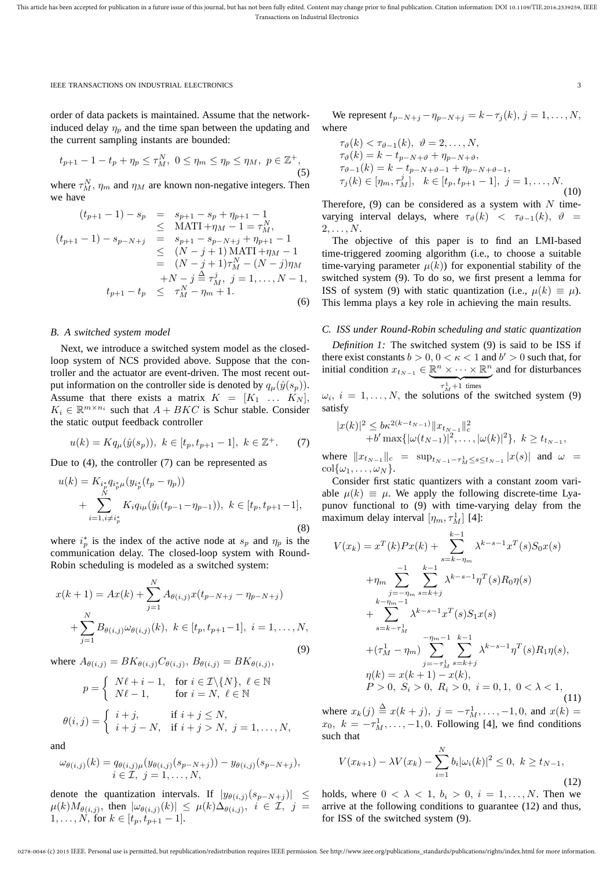order of data packets is maintained. Assume that the networkinduced delay  $\eta_p$  and the time span between the updating and the current sampling instants are bounded:

$$
t_{p+1} - 1 - t_p + \eta_p \le \tau_M^N, \ 0 \le \eta_m \le \eta_p \le \eta_M, \ p \in \mathbb{Z}^+, \tag{5}
$$

where  $\tau_M^N$ ,  $\eta_m$  and  $\eta_M$  are known non-negative integers. Then we have

$$
(t_{p+1} - 1) - s_p = s_{p+1} - s_p + \eta_{p+1} - 1
$$
  
\n
$$
\leq \text{MATI} + \eta_M - 1 = \tau_M^N,
$$
  
\n
$$
(t_{p+1} - 1) - s_{p-N+j} = s_{p+1} - s_{p-N+j} + \eta_{p+1} - 1
$$
  
\n
$$
\leq (N - j + 1) \text{ MATI} + \eta_M - 1
$$
  
\n
$$
= (N - j + 1) \tau_M^N - (N - j) \eta_M
$$
  
\n
$$
+ N - j \stackrel{\triangle}{=} \tau_M^j, \ j = 1, ..., N - 1,
$$
  
\n
$$
t_{p+1} - t_p \leq \tau_M^N - \eta_m + 1.
$$
  
\n(6)

# *B. A switched system model*

Next, we introduce a switched system model as the closedloop system of NCS provided above. Suppose that the controller and the actuator are event-driven. The most recent output information on the controller side is denoted by  $q_{\mu}(\hat{y}(s_p))$ . Assume that there exists a matrix  $K = [K_1 \ldots K_N],$  $K_i \in \mathbb{R}^{m \times n_i}$  such that  $A + BKC$  is Schur stable. Consider the static output feedback controller

$$
u(k) = Kq_{\mu}(\hat{y}(s_p)), \ k \in [t_p, t_{p+1} - 1], \ k \in \mathbb{Z}^+.
$$
 (7)

Due to (4), the controller (7) can be represented as

$$
u(k) = K_{i_p^* q_i^* \mu} (y_{i_p^*} (t_p - \eta_p))
$$
  
+ 
$$
\sum_{i=1, i \neq i_p^*} K_i q_{i_p} (\hat{y}_i (t_{p-1} - \eta_{p-1})), \ k \in [t_p, t_{p+1} - 1],
$$
  
(8)

where  $i_p^*$  is the index of the active node at  $s_p$  and  $\eta_p$  is the communication delay. The closed-loop system with Round-Robin scheduling is modeled as a switched system:

$$
x(k+1) = Ax(k) + \sum_{j=1}^{N} A_{\theta(i,j)} x(t_{p-N+j} - \eta_{p-N+j})
$$
  
+ 
$$
\sum_{j=1}^{N} B_{\theta(i,j)} \omega_{\theta(i,j)}(k), \ k \in [t_p, t_{p+1}-1], \ i = 1, ..., N,
$$
  
(9)

where  $A_{\theta(i,j)} = BK_{\theta(i,j)} C_{\theta(i,j)}, B_{\theta(i,j)} = BK_{\theta(i,j)},$ 

$$
p = \begin{cases} N\ell + i - 1, & \text{for } i \in \mathcal{I} \setminus \{N\}, \ \ell \in \mathbb{N} \\ N\ell - 1, & \text{for } i = N, \ \ell \in \mathbb{N} \end{cases}
$$

$$
\theta(i,j) = \begin{cases} i+j, & \text{if } i+j \leq N, \\ i+j-N, & \text{if } i+j > N, \ j = 1, \dots, N, \end{cases}
$$

and

$$
\omega_{\theta(i,j)}(k) = q_{\theta(i,j)\mu}(y_{\theta(i,j)}(s_{p-N+j})) - y_{\theta(i,j)}(s_{p-N+j}),
$$
  

$$
i \in \mathcal{I}, j = 1, \ldots, N,
$$

denote the quantization intervals. If  $|y_{\theta(i,j)}(s_{p-N+j})| \leq$  $\mu(k)M_{\theta(i,j)},$  then  $|\omega_{\theta(i,j)}(k)| \leq \mu(k)\Delta_{\theta(i,j)}, i \in \mathcal{I}, j =$  $1, \ldots, N$ , for  $k \in [t_p, t_{p+1} - 1]$ .

We represent  $t_{p-N+j} - \eta_{p-N+j} = k - \tau_j(k), j = 1, ..., N$ , where

$$
\tau_{\vartheta}(k) < \tau_{\vartheta-1}(k), \quad \vartheta = 2, \dots, N,
$$
\n
$$
\tau_{\vartheta}(k) = k - t_{p-N+\vartheta} + \eta_{p-N+\vartheta},
$$
\n
$$
\tau_{\vartheta-1}(k) = k - t_{p-N+\vartheta-1} + \eta_{p-N+\vartheta-1},
$$
\n
$$
\tau_j(k) \in [\eta_m, \tau_M^j], \quad k \in [t_p, t_{p+1} - 1], \quad j = 1, \dots, N.
$$
\n(10)

Therefore, (9) can be considered as a system with  $N$  timevarying interval delays, where  $\tau_{\vartheta}(k) < \tau_{\vartheta-1}(k)$ ,  $\vartheta =$  $2, \ldots, N$ .

The objective of this paper is to find an LMI-based time-triggered zooming algorithm (i.e., to choose a suitable time-varying parameter  $\mu(k)$ ) for exponential stability of the switched system (9). To do so, we first present a lemma for ISS of system (9) with static quantization (i.e.,  $\mu(k) \equiv \mu$ ). This lemma plays a key role in achieving the main results.

# *C. ISS under Round-Robin scheduling and static quantization*

*Definition 1:* The switched system (9) is said to be ISS if there exist constants  $b > 0$ ,  $0 < \kappa < 1$  and  $b' > 0$  such that, for initial condition  $x_{t_{N-1}} \in \mathbb{R}^n \times \cdots \times \mathbb{R}^n$  and for disturbances  $\tau_M^1+1$  times

 $\omega_i$ ,  $i = 1, \ldots, N$ , the solutions of the switched system (9) satisfy

$$
|x(k)|^2 \leq b\kappa^{2(k-t_{N-1})} \|x_{t_{N-1}}\|_{c}^2 +b' \max\{|\omega(t_{N-1})|^2, \ldots, |\omega(k)|^2\}, k \geq t_{t_{N-1}},
$$

where  $||x_{t_{N-1}}||_c = \sup_{t_{N-1}-\tau_M^1 \le s \le t_{N-1}} |x(s)|$  and  $\omega =$  $\operatorname{col}\{\omega_1,\ldots,\omega_N\}.$ 

Consider first static quantizers with a constant zoom variable  $\mu(k) \equiv \mu$ . We apply the following discrete-time Lyapunov functional to (9) with time-varying delay from the maximum delay interval  $[\eta_m, \tau_M^1]$  [4]:

$$
V(x_k) = x^T(k)Px(k) + \sum_{s=k-\eta_m}^{k-1} \lambda^{k-s-1}x^T(s)S_0x(s)
$$
  
+  $\eta_m \sum_{j=-\eta_m}^{-1} \sum_{s=k+j}^{k-1} \lambda^{k-s-1}\eta^T(s)R_0\eta(s)$   
+  $\sum_{s=k-\eta_m}^{k-\eta_m-1} \lambda^{k-s-1}x^T(s)S_1x(s)$   
+  $(\tau_M^1 - \eta_m) \sum_{j=-\tau_M^1}^{-1} \sum_{s=k+j}^{k-1} \lambda^{k-s-1}\eta^T(s)R_1\eta(s),$   
 $\eta(k) = x(k+1) - x(k),$   
 $P > 0, S_i > 0, R_i > 0, i = 0, 1, 0 < \lambda < 1,$   
(11)

where  $x_k(j) \stackrel{\Delta}{=} x(k + j)$ ,  $j = -\tau_M^1, \ldots, -1, 0$ , and  $x(k) =$  $x_0, k = -\tau_M^1, \ldots, -1, 0$ . Following [4], we find conditions such that

$$
V(x_{k+1}) - \lambda V(x_k) - \sum_{i=1}^{N} b_i |\omega_i(k)|^2 \le 0, \ k \ge t_{N-1},
$$
\n(12)

holds, where  $0 < \lambda < 1$ ,  $b_i > 0$ ,  $i = 1, \dots, N$ . Then we arrive at the following conditions to guarantee (12) and thus, for ISS of the switched system (9).

0278-0046 (c) 2015 IEEE. Personal use is permitted, but republication/redistribution requires IEEE permission. See http://www.ieee.org/publications\_standards/publications/rights/index.html for more information.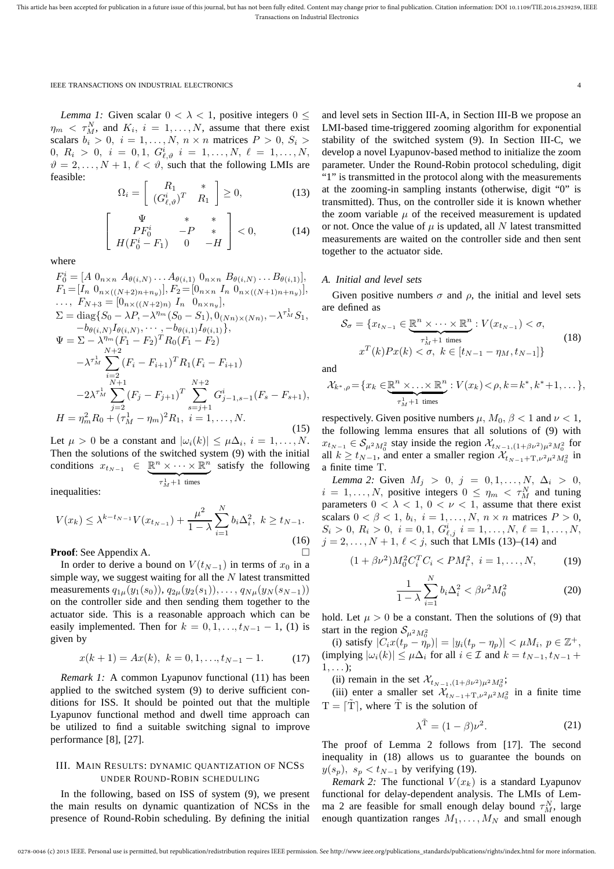*Lemma 1:* Given scalar  $0 < \lambda < 1$ , positive integers  $0 \le$  $\eta_m \leq \tau_M^N$ , and  $K_i$ ,  $i = 1, \ldots, N$ , assume that there exist scalars  $b_i > 0$ ,  $i = 1, \ldots, N$ ,  $n \times n$  matrices  $P > 0$ ,  $S_i >$  $0, R_i > 0, i = 0, 1, G^i_{\ell, \vartheta} i = 1, ..., N, \ell = 1, ..., N,$  $\vartheta = 2, \ldots, N + 1, \ell < \vartheta$ , such that the following LMIs are feasible:

$$
\Omega_i = \left[ \begin{array}{cc} R_1 & * \\ (G_{\ell,\vartheta}^{i})^T & R_1 \end{array} \right] \ge 0, \tag{13}
$$

$$
\begin{bmatrix}\n\Psi & * & * \\
PF_0^i & -P & * \\
H(F_0^i - F_1) & 0 & -H\n\end{bmatrix} < 0,\n\tag{14}
$$

where

$$
F_0^i = [A \ 0_{n \times n} \ A_{\theta(i,N)} \dots A_{\theta(i,1)} \ 0_{n \times n} \ B_{\theta(i,N)} \dots B_{\theta(i,1)}],
$$
  
\n
$$
F_1 = [I_n \ 0_{n \times ((N+2)n+n_y)}], F_2 = [0_{n \times n} \ I_n \ 0_{n \times ((N+1)n+n_y)}],
$$
  
\n
$$
\dots, F_{N+3} = [0_{n \times ((N+2)n)} \ I_n \ 0_{n \times n_y}],
$$
  
\n
$$
\Sigma = \text{diag}\{S_0 - \lambda P, -\lambda^{n_m}(S_0 - S_1), 0_{(Nn) \times (Nn)}, -\lambda^{r_M^1} S_1,
$$
  
\n
$$
-b_{\theta(i,N)} I_{\theta(i,N)}, \dots, -b_{\theta(i,1)} I_{\theta(i,1)}\},
$$
  
\n
$$
\Psi = \Sigma - \lambda^{n_m} (F_1 - F_2)^T R_0 (F_1 - F_2)
$$
  
\n
$$
- \lambda^{r_M^1} \sum_{\substack{i=2 \ i=1 \ N+1}}^{N+2} (F_i - F_{i+1})^T R_1 (F_i - F_{i+1})
$$
  
\n
$$
-2\lambda^{r_M^1} \sum_{\substack{j=2 \ j=2}}^{N+2} (F_j - F_{j+1})^T \sum_{\substack{s=j+1 \ s=j+1}}^{N+2} G_{j-1,s-1}^i (F_s - F_{s+1}),
$$
  
\n
$$
H = \eta_m^2 R_0 + (\tau_M^1 - \eta_m)^2 R_1, \ i = 1, \dots, N.
$$
  
\n(15)

Let  $\mu > 0$  be a constant and  $|\omega_i(k)| \leq \mu \Delta_i$ ,  $i = 1, ..., N$ . Then the solutions of the switched system (9) with the initial conditions  $x_{t_{N-1}} \in \mathbb{R}^n \times \cdots \times \mathbb{R}^n$  ${\tau}^1_M+1$  times satisfy the following

inequalities:

$$
V(x_k) \leq \lambda^{k-t_{N-1}} V(x_{t_{N-1}}) + \frac{\mu^2}{1-\lambda} \sum_{i=1}^{N} b_i \Delta_i^2, \ k \geq t_{N-1}.
$$
\n(16)

**Proof**: See Appendix A.

In order to derive a bound on  $V(t_{N-1})$  in terms of  $x_0$  in a simple way, we suggest waiting for all the  $N$  latest transmitted measurements  $q_{1\mu}(y_1(s_0)), q_{2\mu}(y_2(s_1)), \ldots, q_{N\mu}(y_N(s_{N-1}))$ on the controller side and then sending them together to the actuator side. This is a reasonable approach which can be easily implemented. Then for  $k = 0, 1, \ldots, t_{N-1} - 1$ , (1) is given by

$$
x(k+1) = Ax(k), \ k = 0, 1, \dots, t_{N-1} - 1.
$$
 (17)

*Remark 1:* A common Lyapunov functional (11) has been applied to the switched system (9) to derive sufficient conditions for ISS. It should be pointed out that the multiple Lyapunov functional method and dwell time approach can be utilized to find a suitable switching signal to improve performance [8], [27].

# III. MAIN RESULTS: DYNAMIC QUANTIZATION OF NCSS UNDER ROUND-ROBIN SCHEDULING

In the following, based on ISS of system (9), we present the main results on dynamic quantization of NCSs in the presence of Round-Robin scheduling. By defining the initial

and level sets in Section III-A, in Section III-B we propose an LMI-based time-triggered zooming algorithm for exponential stability of the switched system (9). In Section III-C, we develop a novel Lyapunov-based method to initialize the zoom parameter. Under the Round-Robin protocol scheduling, digit "1" is transmitted in the protocol along with the measurements at the zooming-in sampling instants (otherwise, digit "0" is transmitted). Thus, on the controller side it is known whether the zoom variable  $\mu$  of the received measurement is updated or not. Once the value of  $\mu$  is updated, all N latest transmitted measurements are waited on the controller side and then sent together to the actuator side.

## *A. Initial and level sets*

Given positive numbers  $\sigma$  and  $\rho$ , the initial and level sets are defined as

$$
\mathcal{S}_{\sigma} = \{x_{t_{N-1}} \in \underbrace{\mathbb{R}^n \times \cdots \times \mathbb{R}^n}_{\tau_M^1 + 1 \text{ times}} : V(x_{t_{N-1}}) < \sigma,
$$
\n
$$
x^T(k)Px(k) < \sigma, \ k \in [t_{N-1} - \eta_M, t_{N-1}]\}
$$
\n
$$
(18)
$$

and

$$
\mathcal{X}_{k^*,\rho} = \{x_k \in \underbrace{\mathbb{R}^n \times \ldots \times \mathbb{R}^n}_{\tau_M^1 + 1 \text{ times}} : V(x_k) < \rho, k = k^*, k^* + 1, \ldots\},
$$

respectively. Given positive numbers  $\mu$ ,  $M_0$ ,  $\beta$  < 1 and  $\nu$  < 1, the following lemma ensures that all solutions of (9) with  $x_{t_{N-1}} \in S_{\mu^2 M_0^2}$  stay inside the region  $\mathcal{X}_{t_{N-1},(1+\beta \nu^2)\mu^2 M_0^2}$  for all  $k \ge t_{N-1}$ , and enter a smaller region  $\mathcal{X}_{t_{N-1}+\mathrm{T}, \nu^2\mu^2M_0^2}$  in a finite time T.

*Lemma 2:* Given  $M_j > 0$ ,  $j = 0, 1, ..., N$ ,  $\Delta_i > 0$ ,  $i = 1, \dots, N$ , positive integers  $0 \le \eta_m < \tau_M^N$  and tuning parameters  $0 < \lambda < 1$ ,  $0 < \nu < 1$ , assume that there exist scalars  $0 < \beta < 1$ ,  $b_i$ ,  $i = 1, ..., N$ ,  $n \times n$  matrices  $P > 0$ ,  $S_i > 0, R_i > 0, i = 0, 1, G_{\ell,j}^i i = 1, \ldots, N, \ell = 1, \ldots, N$  $j = 2, ..., N + 1, \ell < j$ , such that LMIs (13)–(14) and

$$
(1 + \beta \nu^2) M_0^2 C_i^T C_i < PM_i^2, \ i = 1, \dots, N,\tag{19}
$$

$$
\frac{1}{1-\lambda} \sum_{i=1}^{N} b_i \Delta_i^2 < \beta \nu^2 M_0^2 \tag{20}
$$

hold. Let  $\mu > 0$  be a constant. Then the solutions of (9) that start in the region  $S_{\mu^2 M_0^2}$ 

(i) satisfy  $|C_i x(t_p - \eta_p)| = |y_i(t_p - \eta_p)| < \mu M_i, p \in \mathbb{Z}^+,$ (implying  $|\omega_i(k)| \leq \mu \Delta_i$  for all  $i \in \mathcal{I}$  and  $k = t_{N-1}, t_{N-1}$  +  $1, \ldots$  );

(ii) remain in the set  $\mathcal{X}_{t_{N-1},(1+\beta\nu^2)\mu^2M_0^2}$ ;

(iii) enter a smaller set  $\mathcal{X}_{t_{N-1}+\text{T},\nu^2\mu^2M_0^2}$  in a finite time  $T = [\tilde{T}]$ , where  $\tilde{T}$  is the solution of

$$
\lambda^{\tilde{T}} = (1 - \beta)\nu^2. \tag{21}
$$

The proof of Lemma 2 follows from [17]. The second inequality in (18) allows us to guarantee the bounds on  $y(s_p)$ ,  $s_p < t_{N-1}$  by verifying (19).

*Remark 2:* The functional  $V(x_k)$  is a standard Lyapunov functional for delay-dependent analysis. The LMIs of Lemma 2 are feasible for small enough delay bound  $\tau_M^N$ , large enough quantization ranges  $M_1, \ldots, M_N$  and small enough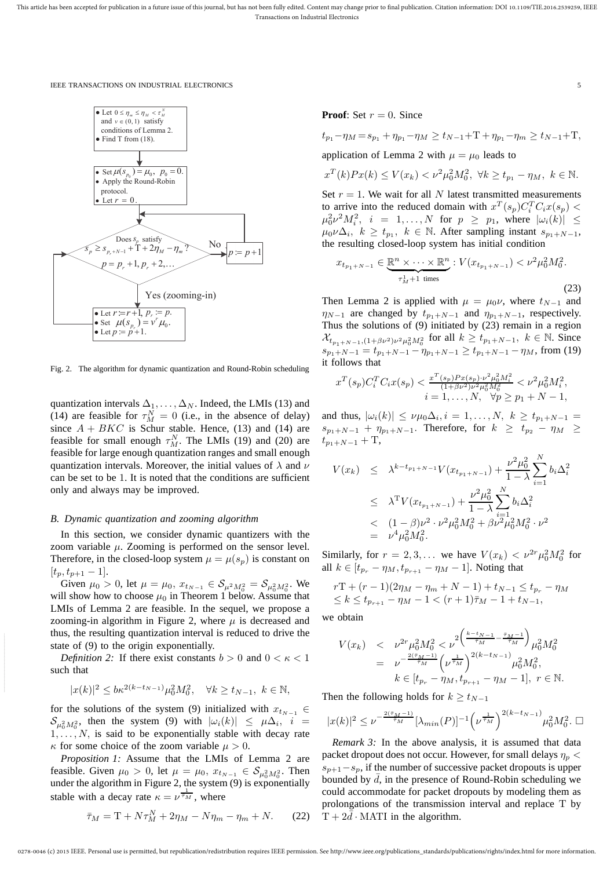

Fig. 2. The algorithm for dynamic quantization and Round-Robin scheduling

quantization intervals  $\Delta_1, \ldots, \Delta_N$ . Indeed, the LMIs (13) and (14) are feasible for  $\tau_M^N = 0$  (i.e., in the absence of delay) since  $A + BKC$  is Schur stable. Hence, (13) and (14) are feasible for small enough  $\tau_M^N$ . The LMIs (19) and (20) are feasible for large enough quantization ranges and small enough quantization intervals. Moreover, the initial values of  $\lambda$  and  $\nu$ can be set to be 1. It is noted that the conditions are sufficient only and always may be improved.

## *B. Dynamic quantization and zooming algorithm*

In this section, we consider dynamic quantizers with the zoom variable  $\mu$ . Zooming is performed on the sensor level. Therefore, in the closed-loop system  $\mu = \mu(s_n)$  is constant on  $[t_p, t_{p+1} - 1].$ 

Given  $\mu_0 > 0$ , let  $\mu = \mu_0$ ,  $x_{t_{N-1}} \in \mathcal{S}_{\mu^2 M_0^2} = \mathcal{S}_{\mu_0^2 M_0^2}$ . We will show how to choose  $\mu_0$  in Theorem 1 below. Assume that LMIs of Lemma 2 are feasible. In the sequel, we propose a zooming-in algorithm in Figure 2, where  $\mu$  is decreased and thus, the resulting quantization interval is reduced to drive the state of (9) to the origin exponentially.

*Definition 2:* If there exist constants  $b > 0$  and  $0 < \kappa < 1$ such that

$$
|x(k)|^2 \le b\kappa^{2(k-t_{N-1})}\mu_0^2 M_0^2, \quad \forall k \ge t_{N-1}, \ k \in \mathbb{N},
$$

for the solutions of the system (9) initialized with  $x_{t_{N-1}} \in$  $\mathcal{S}_{\mu_0^2 M_0^2}$ , then the system (9) with  $|\omega_i(k)| \leq \mu \Delta_i$ ,  $i =$  $1, \ldots, N$ , is said to be exponentially stable with decay rate  $\kappa$  for some choice of the zoom variable  $\mu > 0$ .

*Proposition 1:* Assume that the LMIs of Lemma 2 are feasible. Given  $\mu_0 > 0$ , let  $\mu = \mu_0, x_{t_{N-1}} \in S_{\mu_0^2 M_0^2}$ . Then under the algorithm in Figure 2, the system  $(9)$  is exponentially stable with a decay rate  $\kappa = \nu^{\frac{1}{\overline{\tau}_M}}$ , where

$$
\bar{\tau}_M = \mathbf{T} + N\tau_M^N + 2\eta_M - N\eta_m - \eta_m + N. \tag{22}
$$

**Proof:** Set  $r = 0$ . Since

$$
t_{p_1} - \eta_M = s_{p_1} + \eta_{p_1} - \eta_M \ge t_{N-1} + T + \eta_{p_1} - \eta_m \ge t_{N-1} + T,
$$

application of Lemma 2 with  $\mu = \mu_0$  leads to

$$
x^{T}(k)Px(k) \leq V(x_k) < \nu^2\mu_0^2M_0^2, \ \forall k \geq t_{p_1} - \eta_M, \ k \in \mathbb{N}.
$$

Set  $r = 1$ . We wait for all N latest transmitted measurements to arrive into the reduced domain with  $x^T(s_p)C_i^T C_i x(s_p)$  <  $\mu_0^2 \nu^2 M_i^2$ ,  $i = 1, ..., N$  for  $p \ge p_1$ , where  $|\omega_i(k)| \le$  $\mu_0 \nu \Delta_i$ ,  $k \ge t_{p_1}, k \in \mathbb{N}$ . After sampling instant  $s_{p_1+N-1}$ , the resulting closed-loop system has initial condition

$$
x_{t_{p_1+N-1}} \in \underbrace{\mathbb{R}^n \times \dots \times \mathbb{R}^n}_{\tau_M^1 + 1 \text{ times}} : V(x_{t_{p_1+N-1}}) < \nu^2 \mu_0^2 M_0^2. \tag{23}
$$

Then Lemma 2 is applied with  $\mu = \mu_0 \nu$ , where  $t_{N-1}$  and  $\eta_{N-1}$  are changed by  $t_{p_1+N-1}$  and  $\eta_{p_1+N-1}$ , respectively. Thus the solutions of (9) initiated by (23) remain in a region  $\mathcal{X}_{t_{p_1+N-1},(1+\beta\nu^2)\nu^2\mu_0^2M_0^2}$  for all  $k \ge t_{p_1+N-1}, k \in \mathbb{N}$ . Since  $s_{p_1+N-1} = t_{p_1+N-1} - \eta_{p_1+N-1} \ge t_{p_1+N-1} - \eta_M$ , from (19) it follows that

$$
x^T(s_p)C_i^T C_i x(s_p) < \frac{x^T(s_p)Px(s_p) \cdot \nu^2 \mu_0^2 M_i^2}{(1+\beta \nu^2)\nu^2 \mu_0^2 M_0^2} < \nu^2 \mu_0^2 M_i^2,
$$
  
\n
$$
i = 1, ..., N, \quad \forall p \ge p_1 + N - 1,
$$

and thus,  $|\omega_i(k)| \leq \nu \mu_0 \Delta_i, i = 1, ..., N, k \geq t_{p_1+N-1}$  $s_{p_1+N-1} + \eta_{p_1+N-1}$ . Therefore, for  $k \geq t_{p_2} - \eta_M \geq$  $t_{p_1+N-1}$  + T,

$$
V(x_k) \leq \lambda^{k-t_{p_1+N-1}} V(x_{t_{p_1+N-1}}) + \frac{\nu^2 \mu_0^2}{1-\lambda} \sum_{i=1}^N b_i \Delta_i^2
$$
  
\n
$$
\leq \lambda^T V(x_{t_{p_1+N-1}}) + \frac{\nu^2 \mu_0^2}{1-\lambda} \sum_{i=1}^N b_i \Delta_i^2
$$
  
\n
$$
\leq (1-\beta)\nu^2 \cdot \nu^2 \mu_0^2 M_0^2 + \beta \nu^2 \mu_0^2 M_0^2 \cdot \nu^2
$$
  
\n
$$
= \nu^4 \mu_0^2 M_0^2.
$$

Similarly, for  $r = 2, 3, ...$  we have  $V(x_k) < \nu^{2r} \mu_0^2 M_0^2$  for all  $k \in [t_{p_r} - \eta_M, t_{p_{r+1}} - \eta_M - 1]$ . Noting that

$$
rT + (r - 1)(2\eta_M - \eta_m + N - 1) + t_{N-1} \le t_{p_r} - \eta_M
$$
  
\n
$$
\le k \le t_{p_{r+1}} - \eta_M - 1 < (r + 1)\bar{\tau}_M - 1 + t_{N-1},
$$

we obtain

$$
V(x_k) \leq \nu^{2r} \mu_0^2 M_0^2 < \nu^{2\left(\frac{k-t_{N-1}}{\bar{\tau}_M} - \frac{\bar{\tau}_M - 1}{\bar{\tau}_M}\right)} \mu_0^2 M_0^2
$$
\n
$$
= \nu^{-\frac{2(\bar{\tau}_M - 1)}{\bar{\tau}_M}} \left(\nu^{\frac{1}{\bar{\tau}_M}}\right)^{2(k-t_{N-1})} \mu_0^2 M_0^2,
$$
\n
$$
k \in [t_{p_r} - \eta_M, t_{p_{r+1}} - \eta_M - 1], \ r \in \mathbb{N}.
$$

Then the following holds for  $k \ge t_{N-1}$ 

$$
|x(k)|^2 \leq \nu^{-\frac{2(\bar{\tau}_M-1)}{\bar{\tau}_M}} [\lambda_{min}(P)]^{-1} \left(\nu^{\frac{1}{\bar{\tau}_M}}\right)^{2(k-t_{N-1})} \mu_0^2 M_0^2. \ \Box
$$

*Remark 3:* In the above analysis, it is assumed that data packet dropout does not occur. However, for small delays  $\eta_p$  <  $s_{p+1}-s_p$ , if the number of successive packet dropouts is upper bounded by  $\overline{d}$ , in the presence of Round-Robin scheduling we could accommodate for packet dropouts by modeling them as prolongations of the transmission interval and replace T by  $T + 2d \cdot \text{MATI}$  in the algorithm.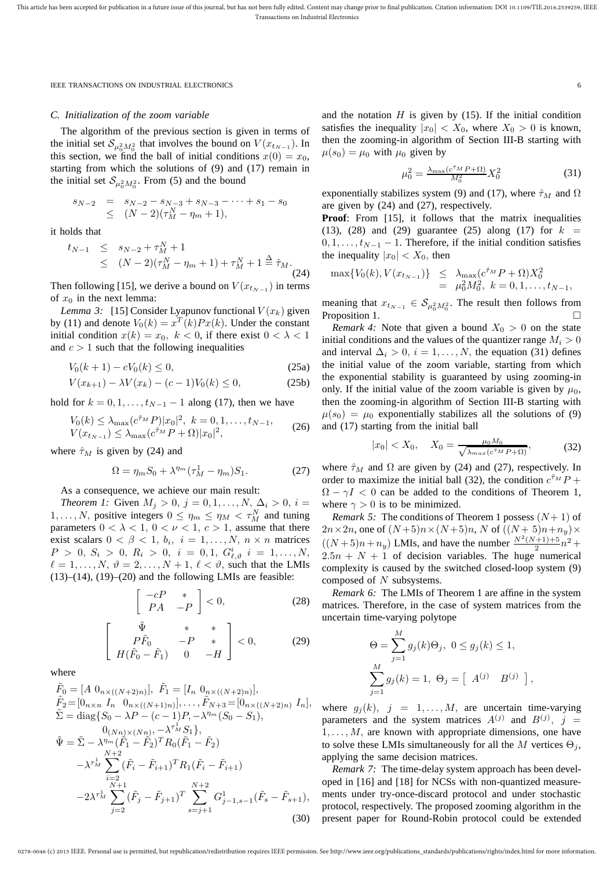## *C. Initialization of the zoom variable*

The algorithm of the previous section is given in terms of the initial set  $S_{\mu_0^2 M_0^2}$  that involves the bound on  $V(x_{t_{N-1}})$ . In this section, we find the ball of initial conditions  $x(0) = x_0$ , starting from which the solutions of (9) and (17) remain in the initial set  $S_{\mu_0^2 M_0^2}$ . From (5) and the bound

$$
s_{N-2} = s_{N-2} - s_{N-3} + s_{N-3} - \dots + s_1 - s_0
$$
  
\n
$$
\leq (N-2)(\tau_M^N - \eta_m + 1),
$$

it holds that

$$
t_{N-1} \leq s_{N-2} + \tau_M^N + 1
$$
  
 
$$
\leq (N-2)(\tau_M^N - \eta_m + 1) + \tau_M^N + 1 \stackrel{\Delta}{=} \hat{\tau}_M.
$$
 (24)

Then following [15], we derive a bound on  $V(x_{t_{N-1}})$  in terms of  $x_0$  in the next lemma:

*Lemma 3:* [15] Consider Lyapunov functional  $V(x_k)$  given by (11) and denote  $V_0(k) = x^T(k)Px(k)$ . Under the constant initial condition  $x(k) = x_0, k < 0$ , if there exist  $0 < \lambda < 1$ and  $c > 1$  such that the following inequalities

$$
V_0(k+1) - cV_0(k) \le 0,
$$
\n(25a)

$$
V(x_{k+1}) - \lambda V(x_k) - (c-1)V_0(k) \le 0,
$$
 (25b)

hold for  $k = 0, 1, \ldots, t_{N-1} - 1$  along (17), then we have

$$
V_0(k) \le \lambda_{\max}(c^{\hat{\tau}_M} P) |x_0|^2, \ k = 0, 1, \dots, t_{N-1},
$$
  

$$
V(x_{t_{N-1}}) \le \lambda_{\max}(c^{\hat{\tau}_M} P + \Omega) |x_0|^2,
$$
 (26)

where  $\hat{\tau}_M$  is given by (24) and

$$
\Omega = \eta_m S_0 + \lambda^{\eta_m} (\tau_M^1 - \eta_m) S_1.
$$
 (27)

As a consequence, we achieve our main result:

*Theorem 1:* Given  $M_i > 0$ ,  $j = 0, 1, ..., N$ ,  $\Delta_i > 0$ ,  $i =$ 1, ..., *N*, positive integers  $0 \le \eta_m \le \eta_M < \tau_M^N$  and tuning parameters  $0 < \lambda < 1$ ,  $0 < \nu < 1$ ,  $c > 1$ , assume that there exist scalars  $0 < \beta < 1$ ,  $b_i$ ,  $i = 1, ..., N$ ,  $n \times n$  matrices  $P > 0, S_i > 0, R_i > 0, i = 0, 1, G^i_{\ell, \vartheta} i = 1, ..., N,$  $\ell = 1, \ldots, N, \vartheta = 2, \ldots, N + 1, \ell < \vartheta$ , such that the LMIs  $(13)$ – $(14)$ ,  $(19)$ – $(20)$  and the following LMIs are feasible:

$$
\left[\begin{array}{cc} -cP & * \\ PA & -P \end{array}\right] < 0,\tag{28}
$$

$$
\begin{bmatrix}\n\tilde{\Psi} & * & * \\
P\tilde{F}_0 & -P & * \\
H(\tilde{F}_0 - \tilde{F}_1) & 0 & -H\n\end{bmatrix} < 0,\n\tag{29}
$$

where

$$
\tilde{F}_0 = [A \ 0_{n \times ((N+2)n)}], \ \tilde{F}_1 = [I_n \ 0_{n \times ((N+2)n)}], \n\tilde{F}_2 = [0_{n \times n} \ I_n \ 0_{n \times ((N+1)n)}], \dots, \tilde{F}_{N+3} = [0_{n \times ((N+2)n)} \ I_n], \n\tilde{\Sigma} = \text{diag}\{S_0 - \lambda P - (c-1)P, -\lambda^{n_m} (S_0 - S_1), \n0_{(Nn) \times (Nn)}, -\lambda^{r_M^1} S_1\}, \n\tilde{\Psi} = \tilde{\Sigma} - \lambda^{n_m} (\tilde{F}_1 - \tilde{F}_2)^T R_0 (\tilde{F}_1 - \tilde{F}_2) \n- \lambda^{r_M^1} \sum_{\substack{i=2 \ i \geq 1 \\ N+1}}^N (\tilde{F}_i - \tilde{F}_{i+1})^T R_1 (\tilde{F}_i - \tilde{F}_{i+1}) \n- 2\lambda^{r_M^1} \sum_{j=2}^{N+1} (\tilde{F}_j - \tilde{F}_{j+1})^T \sum_{s=j+1}^{N+2} G_{j-1,s-1}^1 (\tilde{F}_s - \tilde{F}_{s+1}),
$$
\n(30)

and the notation  $H$  is given by (15). If the initial condition satisfies the inequality  $|x_0| < X_0$ , where  $X_0 > 0$  is known, then the zooming-in algorithm of Section III-B starting with  $\mu(s_0) = \mu_0$  with  $\mu_0$  given by

$$
\mu_0^2 = \frac{\lambda_{\text{max}}(c^{\hat{\tau}_M} P + \Omega)}{M_0^2} X_0^2 \tag{31}
$$

exponentially stabilizes system (9) and (17), where  $\hat{\tau}_M$  and  $\Omega$ are given by (24) and (27), respectively.

**Proof**: From [15], it follows that the matrix inequalities (13), (28) and (29) guarantee (25) along (17) for  $k =$  $0, 1, \ldots, t_{N-1} - 1$ . Therefore, if the initial condition satisfies the inequality  $|x_0| < X_0$ , then

$$
\max\{V_0(k), V(x_{t_{N-1}})\}\leq \lambda_{\max}(c^{\hat{\tau}_M}P + \Omega)X_0^2
$$
  
=  $\mu_0^2 M_0^2, k = 0, 1, ..., t_{N-1},$ 

meaning that  $x_{t_{N-1}} \in \mathcal{S}_{\mu_0^2 M_0^2}$ . The result then follows from Proposition 1.

*Remark 4:* Note that given a bound  $X_0 > 0$  on the state initial conditions and the values of the quantizer range  $M_i > 0$ and interval  $\Delta_i > 0$ ,  $i = 1, ..., N$ , the equation (31) defines the initial value of the zoom variable, starting from which the exponential stability is guaranteed by using zooming-in only. If the initial value of the zoom variable is given by  $\mu_0$ , then the zooming-in algorithm of Section III-B starting with  $u(s_0) = u_0$  exponentially stabilizes all the solutions of (9) and (17) starting from the initial ball

$$
|x_0| < X_0, \quad X_0 = \frac{\mu_0 M_0}{\sqrt{\lambda_{max}(c^{\hat{\tau}_M} P + \Omega)}},\tag{32}
$$

where  $\hat{\tau}_M$  and  $\Omega$  are given by (24) and (27), respectively. In order to maximize the initial ball (32), the condition  $c^{\hat{\tau}_M} P +$  $\Omega - \gamma I < 0$  can be added to the conditions of Theorem 1, where  $\gamma > 0$  is to be minimized.

*Remark 5:* The conditions of Theorem 1 possess  $(N+1)$  of  $2n \times 2n$ , one of  $(N+5)n \times (N+5)n$ , N of  $((N+5)n+n_y) \times$  $((N+5)n + n_y)$  LMIs, and have the number  $\frac{N^2(N+1)+5}{2}$  $\frac{+1}{2}n^2 +$  $2.5n + N + 1$  of decision variables. The huge numerical complexity is caused by the switched closed-loop system (9) composed of N subsystems.

*Remark 6:* The LMIs of Theorem 1 are affine in the system matrices. Therefore, in the case of system matrices from the uncertain time-varying polytope

$$
\Theta = \sum_{j=1}^{M} g_j(k)\Theta_j, \ 0 \le g_j(k) \le 1,
$$
  

$$
\sum_{j=1}^{M} g_j(k) = 1, \ \Theta_j = \begin{bmatrix} A^{(j)} & B^{(j)} \end{bmatrix},
$$

where  $g_j(k)$ ,  $j = 1, ..., M$ , are uncertain time-varying parameters and the system matrices  $A^{(j)}$  and  $B^{(j)}$ ,  $j =$  $1, \ldots, M$ , are known with appropriate dimensions, one have to solve these LMIs simultaneously for all the M vertices  $\Theta_i$ , applying the same decision matrices.

*Remark 7:* The time-delay system approach has been developed in [16] and [18] for NCSs with non-quantized measurements under try-once-discard protocol and under stochastic protocol, respectively. The proposed zooming algorithm in the present paper for Round-Robin protocol could be extended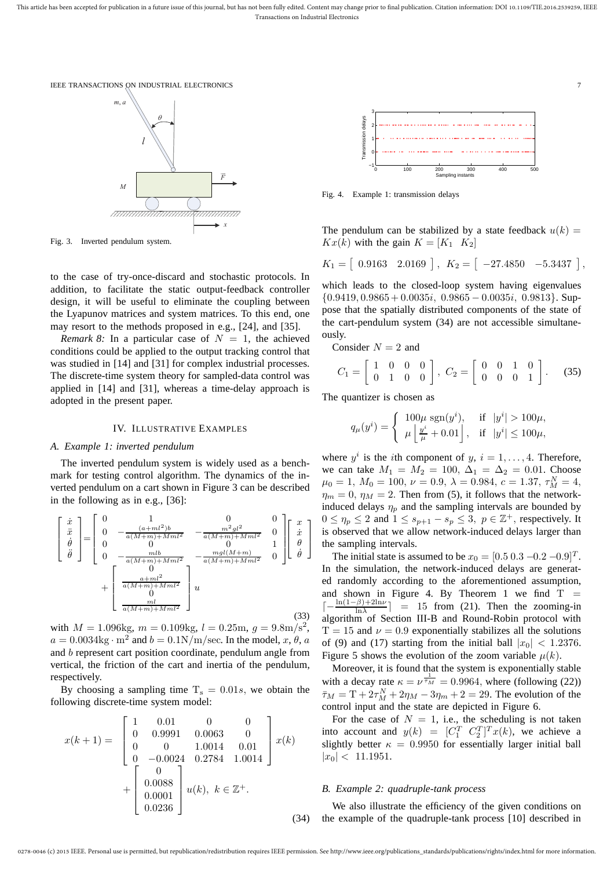



Fig. 3. Inverted pendulum system.

to the case of try-once-discard and stochastic protocols. In addition, to facilitate the static output-feedback controller design, it will be useful to eliminate the coupling between the Lyapunov matrices and system matrices. To this end, one may resort to the methods proposed in e.g., [24], and [35].

*Remark 8:* In a particular case of  $N = 1$ , the achieved conditions could be applied to the output tracking control that was studied in [14] and [31] for complex industrial processes. The discrete-time system theory for sampled-data control was applied in [14] and [31], whereas a time-delay approach is adopted in the present paper.

# IV. ILLUSTRATIVE EXAMPLES

# *A. Example 1: inverted pendulum*

The inverted pendulum system is widely used as a benchmark for testing control algorithm. The dynamics of the inverted pendulum on a cart shown in Figure 3 can be described in the following as in e.g., [36]:

$$
\begin{bmatrix}\n\dot{x} \\
\ddot{x} \\
\dot{\theta} \\
\ddot{\theta}\n\end{bmatrix} = \begin{bmatrix}\n0 & 1 & 0 & 0 \\
0 & -\frac{(a+ml^2)b}{a(M+m)+Mml^2} & -\frac{m^2gl^2}{a(M+m)+Mml^2} & 0 \\
0 & 0 & 0 \\
0 & -\frac{mb}{a(M+m)+Mml^2} & -\frac{ngl(M+m)}{a(M+m)+Mml^2} & 0\n\end{bmatrix} \begin{bmatrix}\nx \\
\dot{x} \\
\theta \\
\dot{\theta}\n\end{bmatrix} + \begin{bmatrix}\n0 \\
\frac{a+ml^2}{a(M+m)+Mml^2} \\
\frac{a+ml^2}{a(M+m)+Mml^2} \\
\frac{ml}{a(M+m)+Mml^2}\n\end{bmatrix} u
$$
\n(33)

with  $M = 1.096$ kg,  $m = 0.109$ kg,  $l = 0.25$ m,  $g = 9.8$ m/s<sup>2</sup>,  $a = 0.0034 \text{kg} \cdot \text{m}^2$  and  $b = 0.1 \text{N/m/sec}$ . In the model,  $x, \theta, a$ and b represent cart position coordinate, pendulum angle from vertical, the friction of the cart and inertia of the pendulum, respectively.

By choosing a sampling time  $T_s = 0.01s$ , we obtain the following discrete-time system model:

$$
x(k+1) = \begin{bmatrix} 1 & 0.01 & 0 & 0 \\ 0 & 0.9991 & 0.0063 & 0 \\ 0 & 0 & 1.0014 & 0.01 \\ 0 & -0.0024 & 0.2784 & 1.0014 \end{bmatrix} x(k)
$$

$$
+ \begin{bmatrix} 0 \\ 0.0088 \\ 0.0001 \\ 0.0236 \end{bmatrix} u(k), \ k \in \mathbb{Z}^+.
$$



Fig. 4. Example 1: transmission delays

The pendulum can be stabilized by a state feedback  $u(k)$  =  $Kx(k)$  with the gain  $K = [K_1 \ K_2]$ 

$$
K_1 = [0.9163 \quad 2.0169], \quad K_2 = [ -27.4850 \quad -5.3437],
$$

which leads to the closed-loop system having eigenvalues  ${0.9419, 0.9865 + 0.0035i, 0.9865 - 0.0035i, 0.9813}.$  Suppose that the spatially distributed components of the state of the cart-pendulum system (34) are not accessible simultaneously.

Consider 
$$
N = 2
$$
 and

$$
C_1 = \left[ \begin{array}{rrr} 1 & 0 & 0 & 0 \\ 0 & 1 & 0 & 0 \end{array} \right], \ C_2 = \left[ \begin{array}{rrr} 0 & 0 & 1 & 0 \\ 0 & 0 & 0 & 1 \end{array} \right]. \tag{35}
$$

The quantizer is chosen as

$$
q_{\mu}(y^{i}) = \begin{cases} 100\mu \operatorname{sgn}(y^{i}), & \text{if } |y^{i}| > 100\mu, \\ \mu \left\lfloor \frac{y^{i}}{\mu} + 0.01 \right\rfloor, & \text{if } |y^{i}| \le 100\mu, \end{cases}
$$

where  $y^i$  is the *i*th component of  $y, i = 1, \ldots, 4$ . Therefore, we can take  $M_1 = M_2 = 100, \Delta_1 = \Delta_2 = 0.01$ . Choose  $\mu_0 = 1, M_0 = 100, \nu = 0.9, \lambda = 0.984, c = 1.37, \tau_M^N = 4,$  $\eta_m = 0$ ,  $\eta_M = 2$ . Then from (5), it follows that the networkinduced delays  $\eta_p$  and the sampling intervals are bounded by  $0 \le \eta_p \le 2$  and  $1 \le s_{p+1} - s_p \le 3$ ,  $p \in \mathbb{Z}^+$ , respectively. It is observed that we allow network-induced delays larger than the sampling intervals.

The initial state is assumed to be  $x_0 = [0.5 \, 0.3 \, -0.2 \, -0.9]^T$ . In the simulation, the network-induced delays are generated randomly according to the aforementioned assumption, and shown in Figure 4. By Theorem 1 we find  $T =$  $\left[-\frac{\ln(1-\beta)+2\ln\nu}{\ln\lambda}\right] = 15$  from (21). Then the zooming-in algorithm of Section III-B and Round-Robin protocol with  $T = 15$  and  $\nu = 0.9$  exponentially stabilizes all the solutions of (9) and (17) starting from the initial ball  $|x_0| < 1.2376$ . Figure 5 shows the evolution of the zoom variable  $\mu(k)$ .

Moreover, it is found that the system is exponentially stable with a decay rate  $\kappa = \nu^{\frac{1}{\tau_M}} = 0.9964$ , where (following (22))  $\bar{\tau}_M = T + 2\tau_M^N + 2\eta_M - 3\eta_m + 2 = 29$ . The evolution of the control input and the state are depicted in Figure 6.

For the case of  $N = 1$ , i.e., the scheduling is not taken into account and  $y(k) = [C_1^T C_2^T]^T x(k)$ , we achieve a slightly better  $\kappa = 0.9950$  for essentially larger initial ball  $|x_0| < 11.1951.$ 

# *B. Example 2: quadruple-tank process*

(34) We also illustrate the efficiency of the given conditions on the example of the quadruple-tank process [10] described in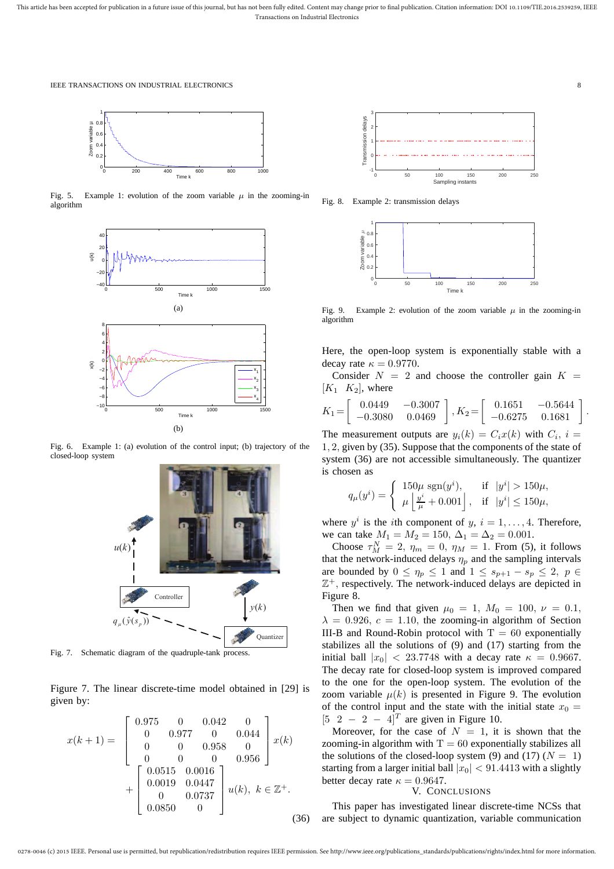

Fig. 5. Example 1: evolution of the zoom variable  $\mu$  in the zooming-in algorithm



Fig. 6. Example 1: (a) evolution of the control input; (b) trajectory of the closed-loop system



Fig. 7. Schematic diagram of the quadruple-tank process.

Figure 7. The linear discrete-time model obtained in [29] is given by:

$$
x(k+1) = \begin{bmatrix} 0.975 & 0 & 0.042 & 0 \\ 0 & 0.977 & 0 & 0.044 \\ 0 & 0 & 0.958 & 0 \\ 0 & 0 & 0 & 0.956 \\ + \begin{bmatrix} 0.0515 & 0.0016 \\ 0.0019 & 0.0447 \\ 0 & 0.0737 \\ 0.0850 & 0 \end{bmatrix} u(k), \ k \in \mathbb{Z}^+. \tag{36}
$$



Fig. 8. Example 2: transmission delays



Fig. 9. Example 2: evolution of the zoom variable  $\mu$  in the zooming-in algorithm

Here, the open-loop system is exponentially stable with a decay rate  $\kappa = 0.9770$ .

Consider  $N = 2$  and choose the controller gain  $K =$  $[K_1 \ K_2]$ , where

$$
K_1 = \begin{bmatrix} 0.0449 & -0.3007 \\ -0.3080 & 0.0469 \end{bmatrix}, K_2 = \begin{bmatrix} 0.1651 & -0.5644 \\ -0.6275 & 0.1681 \end{bmatrix}.
$$

The measurement outputs are  $y_i(k) = C_i x(k)$  with  $C_i$ ,  $i =$ 1, 2, given by (35). Suppose that the components of the state of system (36) are not accessible simultaneously. The quantizer is chosen as

$$
q_{\mu}(y^{i}) = \begin{cases} 150\mu \operatorname{sgn}(y^{i}), & \text{if } |y^{i}| > 150\mu, \\ \mu \left| \frac{y^{i}}{\mu} + 0.001 \right|, & \text{if } |y^{i}| \le 150\mu, \end{cases}
$$

where  $y^i$  is the *i*th component of  $y, i = 1, \ldots, 4$ . Therefore, we can take  $M_1 = M_2 = 150$ ,  $\Delta_1 = \Delta_2 = 0.001$ .

Choose  $\tau_M^N = 2$ ,  $\eta_m = 0$ ,  $\eta_M = 1$ . From (5), it follows that the network-induced delays  $\eta_p$  and the sampling intervals are bounded by  $0 \leq \eta_p \leq 1$  and  $1 \leq s_{p+1} - s_p \leq 2$ ,  $p \in$  $\mathbb{Z}^+$ , respectively. The network-induced delays are depicted in Figure 8.

Then we find that given  $\mu_0 = 1$ ,  $M_0 = 100$ ,  $\nu = 0.1$ ,  $\lambda = 0.926$ ,  $c = 1.10$ , the zooming-in algorithm of Section III-B and Round-Robin protocol with  $T = 60$  exponentially stabilizes all the solutions of (9) and (17) starting from the initial ball  $|x_0| < 23.7748$  with a decay rate  $\kappa = 0.9667$ . The decay rate for closed-loop system is improved compared to the one for the open-loop system. The evolution of the zoom variable  $\mu(k)$  is presented in Figure 9. The evolution of the control input and the state with the initial state  $x_0 =$  $[5 \ 2 \ - \ 2 \ - \ 4]^T$  are given in Figure 10.

Moreover, for the case of  $N = 1$ , it is shown that the zooming-in algorithm with  $T = 60$  exponentially stabilizes all the solutions of the closed-loop system (9) and (17) ( $N = 1$ ) starting from a larger initial ball  $|x_0|$  < 91.4413 with a slightly better decay rate  $\kappa = 0.9647$ .

# V. CONCLUSIONS

This paper has investigated linear discrete-time NCSs that are subject to dynamic quantization, variable communication

0278-0046 (c) 2015 IEEE. Personal use is permitted, but republication/redistribution requires IEEE permission. See http://www.ieee.org/publications\_standards/publications/rights/index.html for more information.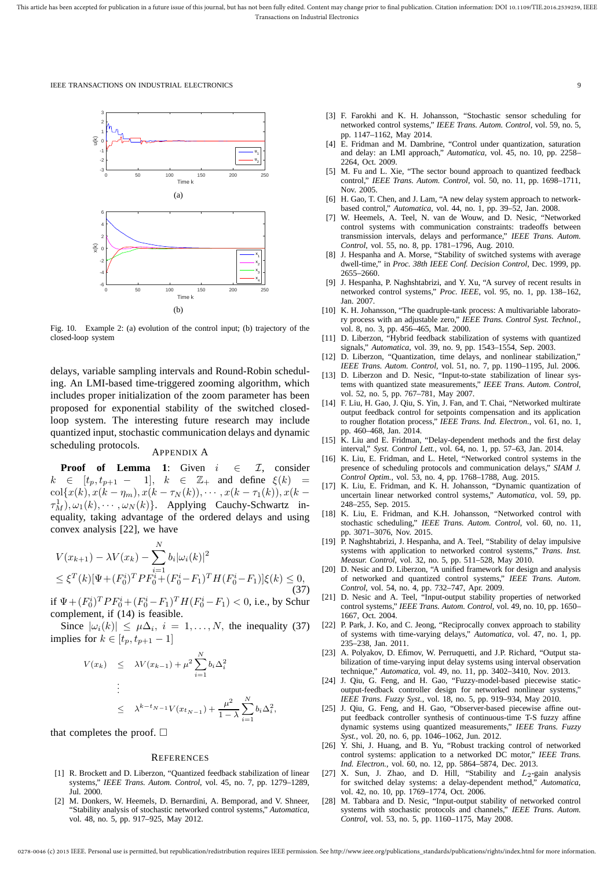

Fig. 10. Example 2: (a) evolution of the control input; (b) trajectory of the closed-loop system

delays, variable sampling intervals and Round-Robin scheduling. An LMI-based time-triggered zooming algorithm, which includes proper initialization of the zoom parameter has been proposed for exponential stability of the switched closedloop system. The interesting future research may include quantized input, stochastic communication delays and dynamic scheduling protocols.

# APPENDIX A

**Proof of Lemma 1**: Given  $i \in \mathcal{I}$ , consider  $k \in [t_p, t_{p+1} - 1], k \in \mathbb{Z}_+$  and define  $\xi(k) =$ col{ $x(k), x(k - \eta_m), x(k - \tau_N(k)), \cdots, x(k - \tau_1(k)), x(k \tau_M^1$ ,  $\omega_1(k)$ ,  $\cdots$ ,  $\omega_N(k)$ }. Applying Cauchy-Schwartz inequality, taking advantage of the ordered delays and using convex analysis [22], we have

$$
V(x_{k+1}) - \lambda V(x_k) - \sum_{i=1}^{N} b_i |\omega_i(k)|^2
$$
  
\n
$$
\leq \xi^T(k) [\Psi + (F_0^i)^T P F_0^i + (F_0^i - F_1)^T H (F_0^i - F_1)] \xi(k) \leq 0,
$$
\n(37)

if  $\Psi + (F_0^i)^T P F_0^i + (F_0^i - F_1)^T H (F_0^i - F_1) < 0$ , i.e., by Schur complement, if (14) is feasible.

Since  $|\omega_i(k)| \leq \mu \Delta_i$ ,  $i = 1, ..., N$ , the inequality (37) implies for  $k \in [t_p, t_{p+1} - 1]$ 

$$
V(x_k) \leq \lambda V(x_{k-1}) + \mu^2 \sum_{i=1}^N b_i \Delta_i^2
$$
  
\n
$$
\vdots
$$
  
\n
$$
\leq \lambda^{k-t_{N-1}} V(x_{t_{N-1}}) + \frac{\mu^2}{1-\lambda} \sum_{i=1}^N b_i \Delta_i^2,
$$

that completes the proof.  $\Box$ 

#### **REFERENCES**

- [1] R. Brockett and D. Liberzon, "Quantized feedback stabilization of linear systems," *IEEE Trans. Autom. Control*, vol. 45, no. 7, pp. 1279–1289, Jul. 2000.
- [2] M. Donkers, W. Heemels, D. Bernardini, A. Bemporad, and V. Shneer, "Stability analysis of stochastic networked control systems," *Automatica*, vol. 48, no. 5, pp. 917–925, May 2012.
- [3] F. Farokhi and K. H. Johansson, "Stochastic sensor scheduling for networked control systems," *IEEE Trans. Autom. Control*, vol. 59, no. 5, pp. 1147–1162, May 2014.
- [4] E. Fridman and M. Dambrine, "Control under quantization, saturation and delay: an LMI approach," *Automatica*, vol. 45, no. 10, pp. 2258– 2264, Oct. 2009.
- [5] M. Fu and L. Xie, "The sector bound approach to quantized feedback control," *IEEE Trans. Autom. Control*, vol. 50, no. 11, pp. 1698–1711, Nov. 2005.
- [6] H. Gao, T. Chen, and J. Lam, "A new delay system approach to networkbased control," *Automatica*, vol. 44, no. 1, pp. 39–52, Jan. 2008.
- [7] W. Heemels, A. Teel, N. van de Wouw, and D. Nesic, "Networked control systems with communication constraints: tradeoffs between transmission intervals, delays and performance," *IEEE Trans. Autom. Control*, vol. 55, no. 8, pp. 1781–1796, Aug. 2010.
- [8] J. Hespanha and A. Morse, "Stability of switched systems with average dwell-time," in *Proc. 38th IEEE Conf. Decision Control*, Dec. 1999, pp. 2655–2660.
- [9] J. Hespanha, P. Naghshtabrizi, and Y. Xu, "A survey of recent results in networked control systems," *Proc. IEEE*, vol. 95, no. 1, pp. 138–162, Jan. 2007.
- [10] K. H. Johansson, "The quadruple-tank process: A multivariable laboratory process with an adjustable zero," *IEEE Trans. Control Syst. Technol.*, vol. 8, no. 3, pp. 456–465, Mar. 2000.
- [11] D. Liberzon, "Hybrid feedback stabilization of systems with quantized signals," *Automatica*, vol. 39, no. 9, pp. 1543–1554, Sep. 2003.
- [12] D. Liberzon, "Quantization, time delays, and nonlinear stabilization," *IEEE Trans. Autom. Control*, vol. 51, no. 7, pp. 1190–1195, Jul. 2006.
- [13] D. Liberzon and D. Nesic, "Input-to-state stabilization of linear systems with quantized state measurements," *IEEE Trans. Autom. Control*, vol. 52, no. 5, pp. 767–781, May 2007.
- [14] F. Liu, H. Gao, J. Oiu, S. Yin, J. Fan, and T. Chai, "Networked multirate output feedback control for setpoints compensation and its application to rougher flotation process," *IEEE Trans. Ind. Electron.*, vol. 61, no. 1, pp. 460–468, Jan. 2014.
- [15] K. Liu and E. Fridman, "Delay-dependent methods and the first delay interval," *Syst. Control Lett.*, vol. 64, no. 1, pp. 57–63, Jan. 2014.
- [16] K. Liu, E. Fridman, and L. Hetel, "Networked control systems in the presence of scheduling protocols and communication delays," *SIAM J. Control Optim.*, vol. 53, no. 4, pp. 1768–1788, Aug. 2015.
- [17] K. Liu, E. Fridman, and K. H. Johansson, "Dynamic quantization of uncertain linear networked control systems," *Automatica*, vol. 59, pp. 248–255, Sep. 2015.
- [18] K. Liu, E. Fridman, and K.H. Johansson, "Networked control with stochastic scheduling," *IEEE Trans. Autom. Control*, vol. 60, no. 11, pp. 3071–3076, Nov. 2015.
- [19] P. Naghshtabrizi, J. Hespanha, and A. Teel, "Stability of delay impulsive systems with application to networked control systems," *Trans. Inst. Measur. Control*, vol. 32, no. 5, pp. 511–528, May 2010.
- [20] D. Nesic and D. Liberzon, "A unified framework for design and analysis of networked and quantized control systems," *IEEE Trans. Autom. Control*, vol. 54, no. 4, pp. 732–747, Apr. 2009.
- [21] D. Nesic and A. Teel, "Input-output stability properties of networked control systems," *IEEE Trans. Autom. Control*, vol. 49, no. 10, pp. 1650– 1667, Oct. 2004.
- [22] P. Park, J. Ko, and C. Jeong, "Reciprocally convex approach to stability of systems with time-varying delays," *Automatica*, vol. 47, no. 1, pp. 235–238, Jan. 2011.
- [23] A. Polyakov, D. Efimov, W. Perruquetti, and J.P. Richard, "Output stabilization of time-varying input delay systems using interval observation technique," *Automatica*, vol. 49, no. 11, pp. 3402–3410, Nov. 2013.
- [24] J. Qiu, G. Feng, and H. Gao, "Fuzzy-model-based piecewise staticoutput-feedback controller design for networked nonlinear systems," *IEEE Trans. Fuzzy Syst.*, vol. 18, no. 5, pp. 919–934, May 2010.
- [25] J. Qiu, G. Feng, and H. Gao, "Observer-based piecewise affine output feedback controller synthesis of continuous-time T-S fuzzy affine dynamic systems using quantized measurements," *IEEE Trans. Fuzzy Syst.*, vol. 20, no. 6, pp. 1046–1062, Jun. 2012.
- [26] Y. Shi, J. Huang, and B. Yu, "Robust tracking control of networked control systems: application to a networked DC motor," *IEEE Trans. Ind. Electron.*, vol. 60, no. 12, pp. 5864–5874, Dec. 2013.
- [27] X. Sun, J. Zhao, and D. Hill, "Stability and  $L_2$ -gain analysis for switched delay systems: a delay-dependent method," *Automatica*, vol. 42, no. 10, pp. 1769–1774, Oct. 2006.
- [28] M. Tabbara and D. Nesic, "Input-output stability of networked control systems with stochastic protocols and channels," *IEEE Trans. Autom. Control*, vol. 53, no. 5, pp. 1160–1175, May 2008.